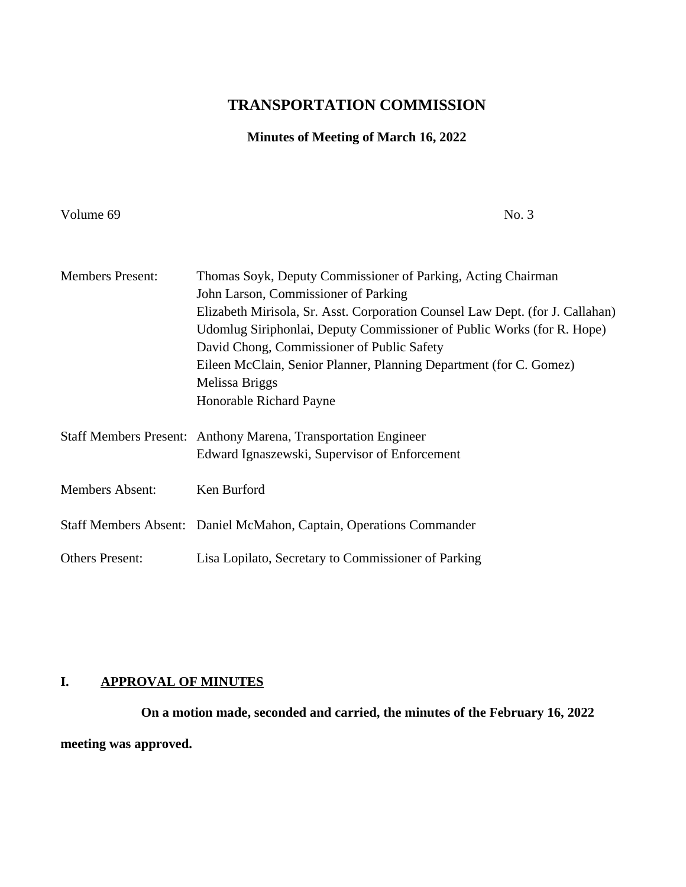# **TRANSPORTATION COMMISSION**

## **Minutes of Meeting of March 16, 2022**

Volume 69 No. 3

| <b>Members Present:</b> | Thomas Soyk, Deputy Commissioner of Parking, Acting Chairman                  |
|-------------------------|-------------------------------------------------------------------------------|
|                         | John Larson, Commissioner of Parking                                          |
|                         | Elizabeth Mirisola, Sr. Asst. Corporation Counsel Law Dept. (for J. Callahan) |
|                         | Udomlug Siriphonlai, Deputy Commissioner of Public Works (for R. Hope)        |
|                         | David Chong, Commissioner of Public Safety                                    |
|                         | Eileen McClain, Senior Planner, Planning Department (for C. Gomez)            |
|                         | Melissa Briggs                                                                |
|                         | Honorable Richard Payne                                                       |
|                         |                                                                               |
|                         | Staff Members Present: Anthony Marena, Transportation Engineer                |
|                         | Edward Ignaszewski, Supervisor of Enforcement                                 |
|                         |                                                                               |
| <b>Members Absent:</b>  | Ken Burford                                                                   |
|                         |                                                                               |
|                         | Staff Members Absent: Daniel McMahon, Captain, Operations Commander           |
|                         |                                                                               |
| <b>Others Present:</b>  | Lisa Lopilato, Secretary to Commissioner of Parking                           |

## **I. APPROVAL OF MINUTES**

**On a motion made, seconded and carried, the minutes of the February 16, 2022 meeting was approved.**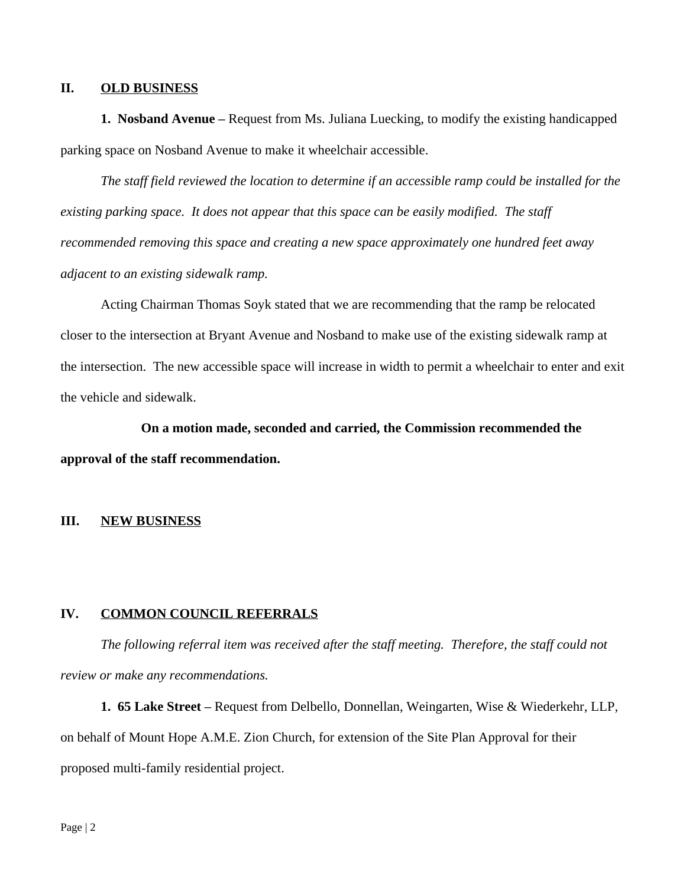### **II. OLD BUSINESS**

**1. Nosband Avenue –** Request from Ms. Juliana Luecking, to modify the existing handicapped parking space on Nosband Avenue to make it wheelchair accessible.

*The staff field reviewed the location to determine if an accessible ramp could be installed for the existing parking space. It does not appear that this space can be easily modified. The staff recommended removing this space and creating a new space approximately one hundred feet away adjacent to an existing sidewalk ramp.*

Acting Chairman Thomas Soyk stated that we are recommending that the ramp be relocated closer to the intersection at Bryant Avenue and Nosband to make use of the existing sidewalk ramp at the intersection. The new accessible space will increase in width to permit a wheelchair to enter and exit the vehicle and sidewalk.

**On a motion made, seconded and carried, the Commission recommended the approval of the staff recommendation.**

## **III. NEW BUSINESS**

#### **IV. COMMON COUNCIL REFERRALS**

*The following referral item was received after the staff meeting. Therefore, the staff could not review or make any recommendations.*

**1. 65 Lake Street –** Request from Delbello, Donnellan, Weingarten, Wise & Wiederkehr, LLP, on behalf of Mount Hope A.M.E. Zion Church, for extension of the Site Plan Approval for their proposed multi-family residential project.